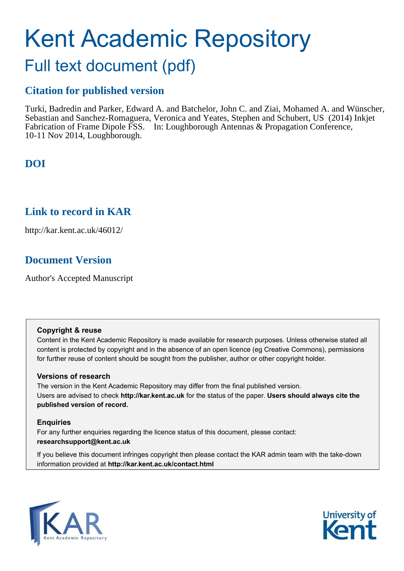# Kent Academic Repository Full text document (pdf)

## **Citation for published version**

Turki, Badredin and Parker, Edward A. and Batchelor, John C. and Ziai, Mohamed A. and Wünscher, Sebastian and Sanchez-Romaguera, Veronica and Yeates, Stephen and Schubert, US (2014) Inkjet Fabrication of Frame Dipole FSS. In: Loughborough Antennas & Propagation Conference, 10-11 Nov 2014, Loughborough.

## **DOI**

### **Link to record in KAR**

http://kar.kent.ac.uk/46012/

## **Document Version**

Author's Accepted Manuscript

#### **Copyright & reuse**

Content in the Kent Academic Repository is made available for research purposes. Unless otherwise stated all content is protected by copyright and in the absence of an open licence (eg Creative Commons), permissions for further reuse of content should be sought from the publisher, author or other copyright holder.

#### **Versions of research**

The version in the Kent Academic Repository may differ from the final published version. Users are advised to check **http://kar.kent.ac.uk** for the status of the paper. **Users should always cite the published version of record.**

#### **Enquiries**

For any further enquiries regarding the licence status of this document, please contact: **researchsupport@kent.ac.uk**

If you believe this document infringes copyright then please contact the KAR admin team with the take-down information provided at **http://kar.kent.ac.uk/contact.html**



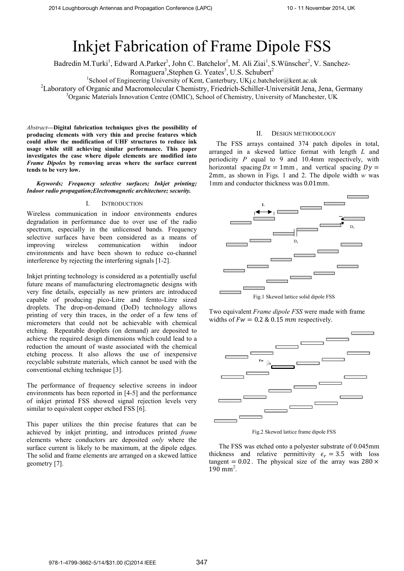## Inkjet Fabrication of Frame Dipole FSS

Badredin M.Turki<sup>1</sup>, Edward A.Parker<sup>1</sup>, John C. Batchelor<sup>1</sup>, M. Ali Ziai<sup>1</sup>, S.Wünscher<sup>2</sup>, V. Sanchez-

Romaguera<sup>3</sup>, Stephen G. Yeates<sup>3</sup>, U.S. Schubert<sup>2</sup>

<sup>1</sup>School of Engineering University of Kent, Canterbury, UKj.c.batchelor@kent.ac.uk

<sup>2</sup>Laboratory of Organic and Macromolecular Chemistry, Friedrich-Schiller-Universität Jena, Jena, Germany

<sup>3</sup>Organic Materials Innovation Centre (OMIC), School of Chemistry, University of Manchester, UK

*Abstract*—Digital fabrication techniques gives the possibility of **producing elements with very thin and precise features which could allow the modification of UHF structures to reduce ink usage while still achieving similar performance. This paper investigates the case where dipole elements are modified into**  *Frame Dipoles* **by removing areas where the surface current tends to be very low.** 

*Keywords; Frequency selective surfaces; Inkjet printing; Indoor radio propagation;Electromagnetic architecture; security.* 

#### I. INTRODUCTION

Wireless communication in indoor environments endures degradation in performance due to over use of the radio spectrum, especially in the unlicensed bands. Frequency selective surfaces have been considered as a means of improving wireless communication within indoor environments and have been shown to reduce co-channel interference by rejecting the interfering signals [1-2].

Inkjet printing technology is considered as a potentially useful future means of manufacturing electromagnetic designs with very fine details, especially as new printers are introduced capable of producing pico-Litre and femto-Litre sized droplets. The drop-on-demand (DoD) technology allows printing of very thin traces, in the order of a few tens of micrometers that could not be achievable with chemical etching. Repeatable droplets (on demand) are deposited to achieve the required design dimensions which could lead to a reduction the amount of waste associated with the chemical etching process. It also allows the use of inexpensive recyclable substrate materials, which cannot be used with the conventional etching technique [3].

The performance of frequency selective screens in indoor environments has been reported in [4-5] and the performance of inkjet printed FSS showed signal rejection levels very similar to equivalent copper etched FSS [6].

This paper utilizes the thin precise features that can be achieved by inkjet printing, and introduces printed *frame* elements where conductors are deposited *only* where the surface current is likely to be maximum, at the dipole edges. The solid and frame elements are arranged on a skewed lattice geometry [7].

#### II. DESIGN METHODOLOGY

The FSS arrays contained 374 patch dipoles in total, arranged in a skewed lattice format with length *L* and periodicity *P* equal to 9 and 10.4mm respectively, with horizontal spacing  $Dx = 1$ mm, and vertical spacing  $Dy =$ 2mm, as shown in Figs. 1 and 2. The dipole width *w* was 1mm and conductor thickness was 0.01mm.



Two equivalent *Frame dipole FSS* were made with frame widths of  $Fw = 0.2 \& 0.15 \, mm$  respectively.



Fig.2 Skewed lattice frame dipole FSS

The FSS was etched onto a polyester substrate of 0.045mm thickness and relative permittivity  $\epsilon_r = 3.5$  with loss tangent  $= 0.02$ . The physical size of the array was 280  $\times$  $190 \text{ mm}^2$ .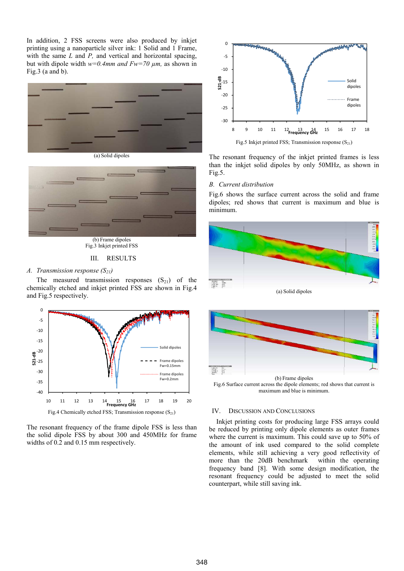In addition, 2 FSS screens were also produced by inkjet printing using a nanoparticle silver ink: 1 Solid and 1 Frame, with the same *L* and *P*, and vertical and horizontal spacing, but with dipole width *w=0.4mm and Fw=70 µm,* as shown in Fig.3 (a and b).





Fig.3 Inkjet printed FSS

#### III. RESULTS

#### *A. Transmission response (S21)*

The measured transmission responses  $(S_{21})$  of the chemically etched and inkjet printed FSS are shown in Fig.4 and Fig.5 respectively.



The resonant frequency of the frame dipole FSS is less than the solid dipole FSS by about 300 and 450MHz for frame widths of 0.2 and 0.15 mm respectively.



The resonant frequency of the inkjet printed frames is less than the inkjet solid dipoles by only 50MHz, as shown in Fig.5.

#### *B. Current distribution*

Fig.6 shows the surface current across the solid and frame dipoles; red shows that current is maximum and blue is minimum.



(a) Solid dipoles



Fig.6 Surface current across the dipole elements; red shows that current is maximum and blue is minimum.

#### IV. DISCUSSION AND CONCLUSIONS

Inkjet printing costs for producing large FSS arrays could be reduced by printing only dipole elements as outer frames where the current is maximum. This could save up to 50% of the amount of ink used compared to the solid complete elements, while still achieving a very good reflectivity of more than the 20dB benchmark within the operating frequency band [8]. With some design modification, the resonant frequency could be adjusted to meet the solid counterpart, while still saving ink.